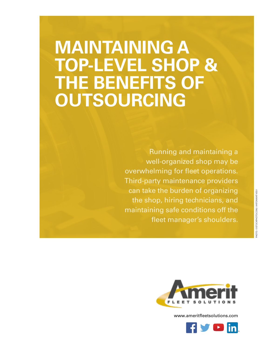# **MAINTAINING A TOP-LEVEL SHOP & THE BENEFITS OF OUTSOURCING**

Running and maintaining a well-organized shop may be overwhelming for fleet operations. Third-party maintenance providers can take the burden of organizing the shop, hiring technicians, and maintaining safe conditions off the fleet manager's shoulders.



[www.ameritfleetsolutions.com](http://www.ameritfleetsolutions.com)

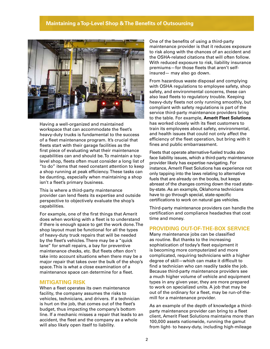### **Maintaining a Top-Level Shop & The Benefits of Outsourcing**



Having a well-organized and maintained workspace that can accommodate the fleet's heavy-duty trucks is fundamental to the success of a fleet maintenance program. It's crucial that fleets start with their garage facilities as the first piece of evaluating what their maintenance capabilities can and should be. To maintain a toplevel shop, fleets often must consider a long list of "to do" items that need constant attention to keep a shop running at peak efficiency. These tasks can be daunting, especially when maintaining a shop isn't a fleet's primary business.

This is where a third-party maintenance provider can lend fleets its expertise and outside perspective to objectively evaluate the shop's capabilities.

For example, one of the first things that Amerit does when working with a fleet is to understand if there is enough space to get the work done. The shop layout must be functional for all the types of heavy-duty truck repairs that will be needed by the fleet's vehicles. There may be a "quick lane" for small repairs, a bay for preventive maintenance checks, etc. But fleets often don't take into account situations when there may be a major repair that takes over the bulk of the shop's space. This is what a close examination of a maintenance space can determine for a fleet.

#### **MITIGATING RISK**

When a fleet operates its own maintenance facility, the company assumes the risks to vehicles, technicians, and drivers. If a technician is hurt on the job, that comes out of the fleet's budget, thus impacting the company's bottom line. If a mechanic misses a repair that leads to an accident, the fleet and the company as a whole will also likely open itself to liability.

One of the benefits of using a third-party maintenance provider is that it reduces exposure to risk along with the chances of an accident and the OSHA-related citations that will often follow. With reduced exposure to risk, liability insurance premiums—for those fleets that aren't selfinsured— may also go down.

From hazardous waste disposal and complying with OSHA regulations to employee safety, shop safety, and environmental concerns, these can also lead fleets to regulatory trouble. Keeping heavy-duty fleets not only running smoothly, but compliant with safety regulations is part of the service third-party maintenance providers bring to the table. For example, **[Amerit Fleet Solution](http://ameritfleetsolutions.com)[s](http://www.ameritfleetsolutions.com)** has worked closely with its fleet customers to train its employees about safety, environmental, and health issues that could not only affect the efficiency of the fleet operation, but bring with it fines and public embarrassment.

Fleets that operate alternative-fueled trucks also face liability issues, which a third-party maintenance provider likely has expertise navigating. For instance, Amerit Fleet Solutions has experience not only tapping into the laws relating to alternative fuels that are already on the books, but keeps abreast of the changes coming down the road stateby-state. As an example, Oklahoma technicians have to go through special, state-specific certifications to work on natural gas vehicles.

Third-party maintenance providers can handle the certification and compliance headaches that cost time and money.

#### **PROVIDING OUT-OF-THE-BOX SERVICE**

Many maintenance jobs can be classified as routine. But thanks to the increasing sophistication of today's fleet equipment it is becoming more computerized and more complicated, requiring technicians with a higher degree of skill—which can make it difficult to find a technician who can readily tackle the job. Because third-party maintenance providers see a much higher volume of vehicle and equipment types in any given year, they are more prepared to work on specialized units. A job that may be out of the ordinary for a fleet, may be run-of-themill for a maintenance provider.

As an example of the depth of knowledge a thirdparty maintenance provider can bring to a fleet client, Amerit Fleet Solutions maintains more than 100,000 assets nationwide, running the gamut from light- to heavy-duty, including high-mileage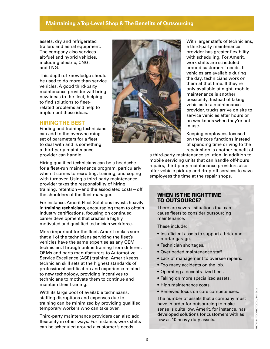# **Maintaining a Top-Level Shop & The Benefits of Outsourcing**

assets, dry and refrigerated trailers and aerial equipment. The company also services alt-fuel and hybrid vehicles, including electric, CNG, and LNG.

This depth of knowledge should be used to do more than service vehicles. A good third-party maintenance provider will bring new ideas to the fleet, helping to find solutions to fleetrelated problems and help to implement these ideas.

# **HIRING THE BEST**

Finding and training technicians can add to the overwhelming set of parameters for a fleet to deal with and is something a third-party maintenance provider can handle.



With larger staffs of technicians, a third-party maintenance provider has greater flexibility with scheduling. For Amerit, work shifts are scheduled around customers' needs. If vehicles are available during the day, technicians work on them at that time. If they're only available at night, mobile maintenance is another possibility. Instead of taking vehicles to a maintenance provider, trucks arrive on site to service vehicles after hours or on weekends when they're not in use.

Keeping employees focused on their core functions instead of spending time driving to the repair shop is another benefit of

Hiring qualified technicians can be a headache for a fleet-run maintenance program, particularly when it comes to recruiting, training, and coping with turnover. Using a third-party maintenance provider takes the responsibility of hiring, training, retention—and the associated costs—off the shoulders of the fleet manager.

For instance, Amerit Fleet Solutions invests heavily in **[training technicians](http://www.ameritfleetsolutions.com/our-difference/)**, encouraging them to obtain industry certifications, focusing on continued career development that creates a highly motivated and qualified technician workforce.

More important for the fleet, Amerit makes sure that all of the technicians servicing the fleet's vehicles have the same expertise as any OEM technician. Through online training from different OEMs and parts manufacturers to Automotive Service Excellence (ASE) training, Amerit keeps technician skill sets at the highest standards of professional certification and experience related to new technology, providing incentives to technicians to motivate them to continue and maintain their training.

With its large pool of available technicians, staffing disruptions and expenses due to training can be minimized by providing qualified temporary workers who can take over.

Third-party maintenance providers can also add flexibility in other ways. For instance, work shifts can be scheduled around a customer's needs.

a third-party maintenance solution. In addition to mobile servicing units that can handle off-hours repairs, third-party maintenance providers also offer vehicle pick-up and drop-off services to save employees the time at the repair shops.

## WHEN IS THE RIGHT TIME TO OUTSOURCE?

There are several situations that can cause fleets to consider outsourcing maintenance.

These include:

- Insufficient assets to support a brick-andmortar garage.
- Technician shortages.
- Overloaded maintenance staff.
- Lack of management to oversee repairs.
- Too many accidents on the job.
- Operating a decentralized fleet.
- Taking on more specialized assets.
- High maintenance costs.
- Renewed focus on core competencies.

The number of assets that a company must have in order for outsourcing to make sense is quite low. Amerit, for instance, has developed solutions for customers with as few as 10 heavy-duty assets.